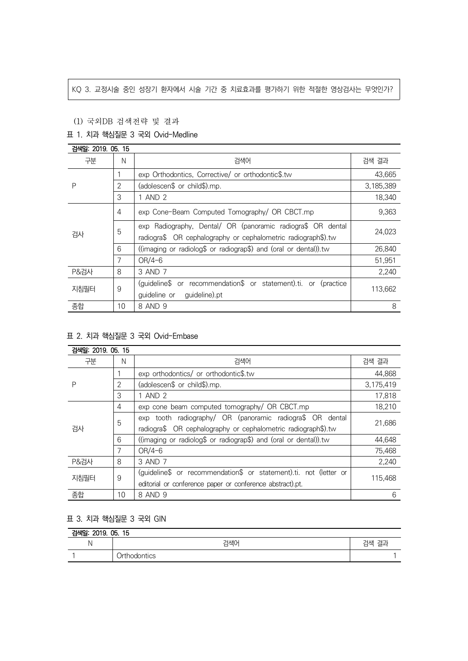### KQ 3. 교정시술 중인 성장기 환자에서 시술 기간 중 치료효과를 평가하기 위한 적절한 영상검사는 무엇인가?

# (1) 국외DB 검색전략 및 결과

# 표 1. 치과 핵심질문 3 국외 Ovid-Medline

| 검색일: 2019. 05. 15 |                |                                                                                                                              |           |
|-------------------|----------------|------------------------------------------------------------------------------------------------------------------------------|-----------|
| 구분                | N              | 검색어                                                                                                                          | 검색 결과     |
| P                 |                | exp Orthodontics, Corrective/ or orthodontic\$.tw                                                                            | 43.665    |
|                   | 2              | (adolescen\$ or child\$).mp.                                                                                                 | 3,185,389 |
|                   | 3              | 1 AND 2                                                                                                                      | 18,340    |
| 검사                | $\overline{4}$ | exp Cone-Beam Computed Tomography/ OR CBCT.mp                                                                                | 9,363     |
|                   | 5              | exp Radiography, Dental/ OR (panoramic radiogra\$ OR dental<br>radiogra\$ OR cephalography or cephalometric radiograph\$).tw | 24,023    |
|                   | 6              | ((imaging or radiolog\$ or radiograp\$) and (oral or dental)).tw                                                             | 26,840    |
|                   | 7              | $OR/4-6$                                                                                                                     | 51,951    |
| <b>P&amp;검사</b>   | 8              | 3 AND 7                                                                                                                      | 2,240     |
| 지침필터              | 9              | (guideline\$ or recommendation\$ or statement).ti. or (practice<br>guideline or<br>guideline).pt                             | 113,662   |
| 종합                | 10             | 8 AND 9                                                                                                                      | 8         |

# 표 2. 치과 핵심질문 3 국외 Ovid-Embase

| 검색일: 2019. 05. 15 |    |                                                                   |           |
|-------------------|----|-------------------------------------------------------------------|-----------|
| 구분                | N  | 검색어                                                               | 검색 결과     |
| Ρ                 |    | exp orthodontics/ or orthodontic\$.tw                             | 44,868    |
|                   | 2  | (adolescen\$ or child\$).mp.                                      | 3,175,419 |
|                   | 3  | 1 AND 2                                                           | 17,818    |
| 검사                | 4  | exp cone beam computed tomography/ OR CBCT.mp                     | 18,210    |
|                   | 5  | exp tooth radiography/ OR (panoramic radiogra\$ OR dental         | 21,686    |
|                   |    | radiogra\$ OR cephalography or cephalometric radiograph\$).tw     |           |
|                   | 6  | ((imaging or radiolog\$ or radiograp\$) and (oral or dental)).tw  | 44,648    |
|                   | 7  | $OR/4-6$                                                          | 75,468    |
| <b>P&amp;검사</b>   | 8  | 3 AND 7                                                           | 2,240     |
| 지침필터              | 9  | (guideline\$ or recommendation\$ or statement).ti. not (letter or | 115,468   |
|                   |    | editorial or conference paper or conference abstract).pt.         |           |
| 종합                | 10 | 8 AND 9                                                           | 6         |

### 표 3. 치과 핵심질문 3 국외 GIN

| 검색일: 2019. 05. 15 |              |       |  |  |  |
|-------------------|--------------|-------|--|--|--|
| N                 | 검색어          | 검색 결과 |  |  |  |
|                   | Orthodontics |       |  |  |  |